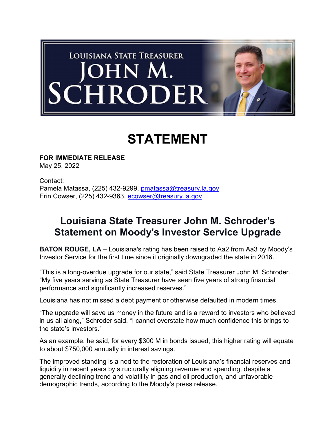

## STATEMENT

FOR IMMEDIATE RELEASE May 25, 2022

Contact: Pamela Matassa, (225) 432-9299, pmatassa@treasury.la.gov Erin Cowser, (225) 432-9363, ecowser@treasury.la.gov

## Louisiana State Treasurer John M. Schroder's Statement on Moody's Investor Service Upgrade

BATON ROUGE, LA – Louisiana's rating has been raised to Aa2 from Aa3 by Moody's Investor Service for the first time since it originally downgraded the state in 2016.

"This is a long-overdue upgrade for our state," said State Treasurer John M. Schroder. "My five years serving as State Treasurer have seen five years of strong financial performance and significantly increased reserves."

Louisiana has not missed a debt payment or otherwise defaulted in modern times.

"The upgrade will save us money in the future and is a reward to investors who believed in us all along," Schroder said. "I cannot overstate how much confidence this brings to the state's investors."

As an example, he said, for every \$300 M in bonds issued, this higher rating will equate to about \$750,000 annually in interest savings.

The improved standing is a nod to the restoration of Louisiana's financial reserves and liquidity in recent years by structurally aligning revenue and spending, despite a generally declining trend and volatility in gas and oil production, and unfavorable demographic trends, according to the Moody's press release.